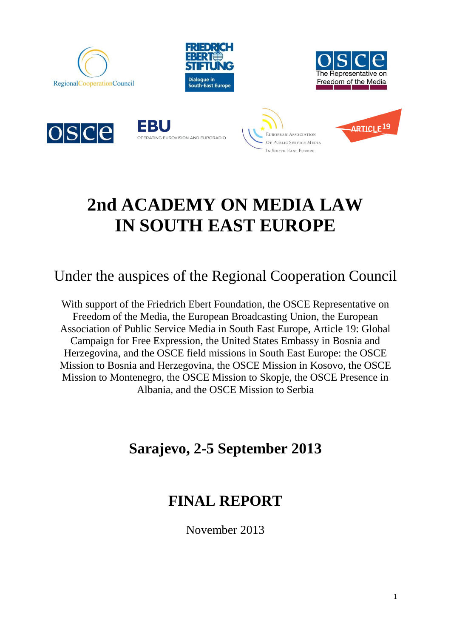













# **2nd ACADEMY ON MEDIA LAW IN SOUTH EAST EUROPE**

# Under the auspices of the Regional Cooperation Council

With support of the Friedrich Ebert Foundation, the OSCE Representative on Freedom of the Media, the European Broadcasting Union, the European Association of Public Service Media in South East Europe, Article 19: Global Campaign for Free Expression, the United States Embassy in Bosnia and Herzegovina, and the OSCE field missions in South East Europe: the OSCE Mission to Bosnia and Herzegovina, the OSCE Mission in Kosovo, the OSCE Mission to Montenegro, the OSCE Mission to Skopje, the OSCE Presence in Albania, and the OSCE Mission to Serbia

# **Sarajevo, 2-5 September 2013**

## **FINAL REPORT**

November 2013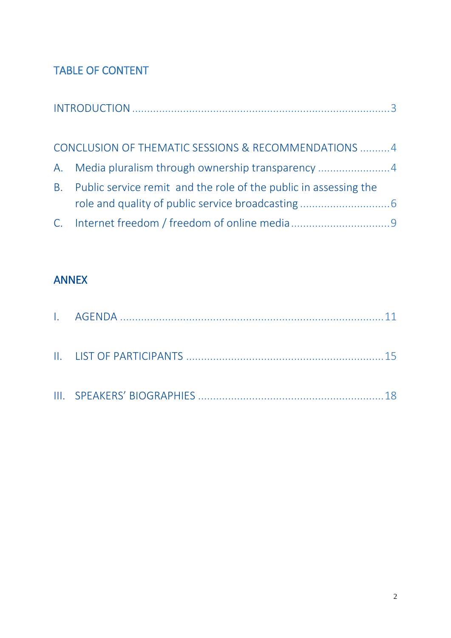## TABLE OF CONTENT

|           | CONCLUSION OF THEMATIC SESSIONS & RECOMMENDATIONS  4             |  |
|-----------|------------------------------------------------------------------|--|
|           | A. Media pluralism through ownership transparency 4              |  |
| <b>B.</b> | Public service remit and the role of the public in assessing the |  |
|           |                                                                  |  |

## [ANNEX](#page-9-0)

<span id="page-1-0"></span>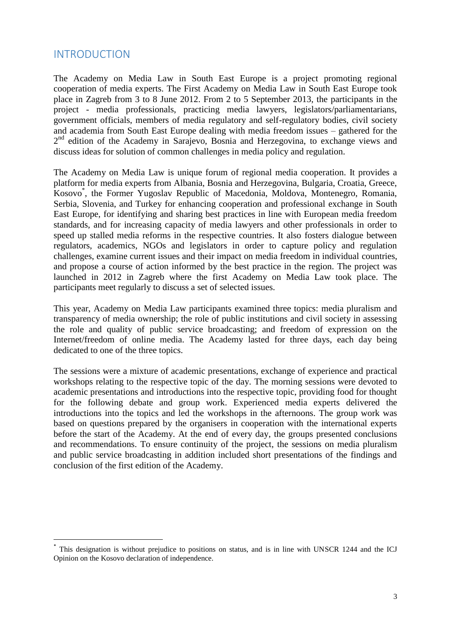## INTRODUCTION

**.** 

The Academy on Media Law in South East Europe is a project promoting regional cooperation of media experts. The First Academy on Media Law in South East Europe took place in Zagreb from 3 to 8 June 2012. From 2 to 5 September 2013, the participants in the project - media professionals, practicing media lawyers, legislators/parliamentarians, government officials, members of media regulatory and self-regulatory bodies, civil society and academia from South East Europe dealing with media freedom issues – gathered for the 2<sup>nd</sup> edition of the Academy in Sarajevo, Bosnia and Herzegovina, to exchange views and discuss ideas for solution of common challenges in media policy and regulation.

The Academy on Media Law is unique forum of regional media cooperation. It provides a platform for media experts from Albania, Bosnia and Herzegovina, Bulgaria, Croatia, Greece, Kosovo\* , the Former Yugoslav Republic of Macedonia, Moldova, Montenegro, Romania, Serbia, Slovenia, and Turkey for enhancing cooperation and professional exchange in South East Europe, for identifying and sharing best practices in line with European media freedom standards, and for increasing capacity of media lawyers and other professionals in order to speed up stalled media reforms in the respective countries. It also fosters dialogue between regulators, academics, NGOs and legislators in order to capture policy and regulation challenges, examine current issues and their impact on media freedom in individual countries, and propose a course of action informed by the best practice in the region. The project was launched in 2012 in Zagreb where the first Academy on Media Law took place. The participants meet regularly to discuss a set of selected issues.

This year, Academy on Media Law participants examined three topics: media pluralism and transparency of media ownership; the role of public institutions and civil society in assessing the role and quality of public service broadcasting; and freedom of expression on the Internet/freedom of online media. The Academy lasted for three days, each day being dedicated to one of the three topics.

The sessions were a mixture of academic presentations, exchange of experience and practical workshops relating to the respective topic of the day. The morning sessions were devoted to academic presentations and introductions into the respective topic, providing food for thought for the following debate and group work. Experienced media experts delivered the introductions into the topics and led the workshops in the afternoons. The group work was based on questions prepared by the organisers in cooperation with the international experts before the start of the Academy. At the end of every day, the groups presented conclusions and recommendations. To ensure continuity of the project, the sessions on media pluralism and public service broadcasting in addition included short presentations of the findings and conclusion of the first edition of the Academy.

<sup>\*</sup> This designation is without prejudice to positions on status, and is in line with UNSCR 1244 and the ICJ Opinion on the Kosovo declaration of independence.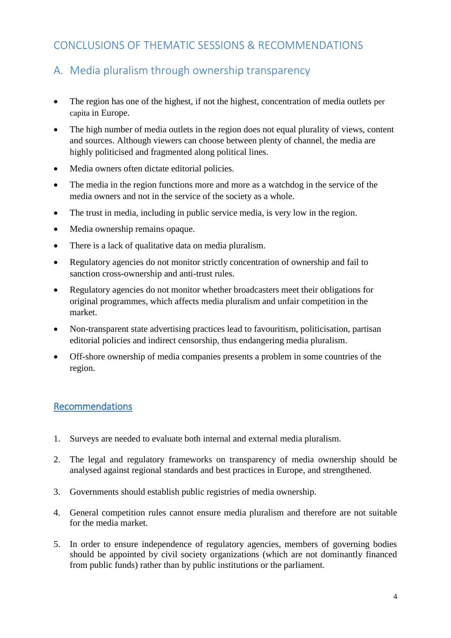## <span id="page-3-0"></span>CONCLUSIONS OF THEMATIC SESSIONS & RECOMMENDATIONS

## <span id="page-3-1"></span>A. Media pluralism through ownership transparency

- The region has one of the highest, if not the highest, concentration of media outlets per capita in Europe.
- The high number of media outlets in the region does not equal plurality of views, content and sources. Although viewers can choose between plenty of channel, the media are highly politicised and fragmented along political lines.
- Media owners often dictate editorial policies.
- The media in the region functions more and more as a watchdog in the service of the media owners and not in the service of the society as a whole.
- The trust in media, including in public service media, is very low in the region.
- Media ownership remains opaque.
- There is a lack of qualitative data on media pluralism.
- Regulatory agencies do not monitor strictly concentration of ownership and fail to sanction cross-ownership and anti-trust rules.
- Regulatory agencies do not monitor whether broadcasters meet their obligations for original programmes, which affects media pluralism and unfair competition in the market.
- Non-transparent state advertising practices lead to favouritism, politicisation, partisan editorial policies and indirect censorship, thus endangering media pluralism.
- Off-shore ownership of media companies presents a problem in some countries of the region.

## Recommendations

- 1. Surveys are needed to evaluate both internal and external media pluralism.
- 2. The legal and regulatory frameworks on transparency of media ownership should be analysed against regional standards and best practices in Europe, and strengthened.
- 3. Governments should establish public registries of media ownership.
- 4. General competition rules cannot ensure media pluralism and therefore are not suitable for the media market.
- 5. In order to ensure independence of regulatory agencies, members of governing bodies should be appointed by civil society organizations (which are not dominantly financed from public funds) rather than by public institutions or the parliament.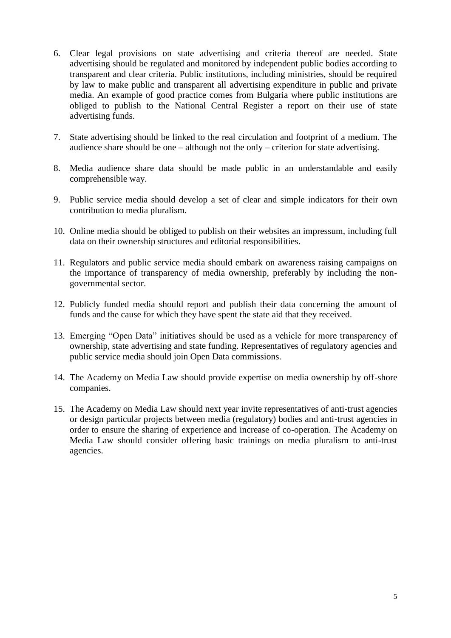- 6. Clear legal provisions on state advertising and criteria thereof are needed. State advertising should be regulated and monitored by independent public bodies according to transparent and clear criteria. Public institutions, including ministries, should be required by law to make public and transparent all advertising expenditure in public and private media. An example of good practice comes from Bulgaria where public institutions are obliged to publish to the National Central Register a report on their use of state advertising funds.
- 7. State advertising should be linked to the real circulation and footprint of a medium. The audience share should be one – although not the only – criterion for state advertising.
- 8. Media audience share data should be made public in an understandable and easily comprehensible way.
- 9. Public service media should develop a set of clear and simple indicators for their own contribution to media pluralism.
- 10. Online media should be obliged to publish on their websites an impressum, including full data on their ownership structures and editorial responsibilities.
- 11. Regulators and public service media should embark on awareness raising campaigns on the importance of transparency of media ownership, preferably by including the nongovernmental sector.
- 12. Publicly funded media should report and publish their data concerning the amount of funds and the cause for which they have spent the state aid that they received.
- 13. Emerging "Open Data" initiatives should be used as a vehicle for more transparency of ownership, state advertising and state funding. Representatives of regulatory agencies and public service media should join Open Data commissions.
- 14. The Academy on Media Law should provide expertise on media ownership by off-shore companies.
- 15. The Academy on Media Law should next year invite representatives of anti-trust agencies or design particular projects between media (regulatory) bodies and anti-trust agencies in order to ensure the sharing of experience and increase of co-operation. The Academy on Media Law should consider offering basic trainings on media pluralism to anti-trust agencies.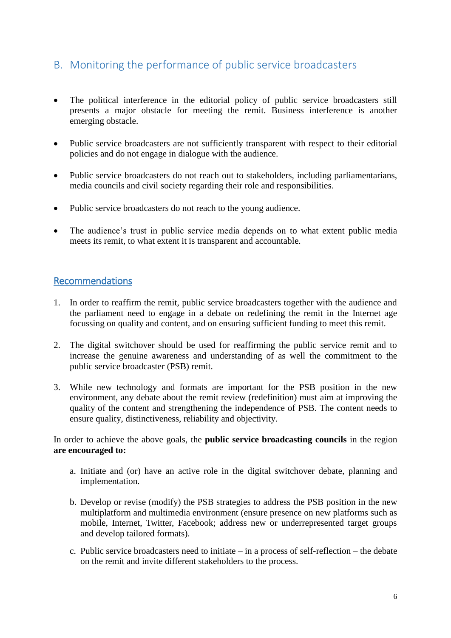## <span id="page-5-0"></span>B. Monitoring the performance of public service broadcasters

- The political interference in the editorial policy of public service broadcasters still presents a major obstacle for meeting the remit. Business interference is another emerging obstacle.
- Public service broadcasters are not sufficiently transparent with respect to their editorial policies and do not engage in dialogue with the audience.
- Public service broadcasters do not reach out to stakeholders, including parliamentarians, media councils and civil society regarding their role and responsibilities.
- Public service broadcasters do not reach to the young audience.
- The audience's trust in public service media depends on to what extent public media meets its remit, to what extent it is transparent and accountable.

### Recommendations

- 1. In order to reaffirm the remit, public service broadcasters together with the audience and the parliament need to engage in a debate on redefining the remit in the Internet age focussing on quality and content, and on ensuring sufficient funding to meet this remit.
- 2. The digital switchover should be used for reaffirming the public service remit and to increase the genuine awareness and understanding of as well the commitment to the public service broadcaster (PSB) remit.
- 3. While new technology and formats are important for the PSB position in the new environment, any debate about the remit review (redefinition) must aim at improving the quality of the content and strengthening the independence of PSB. The content needs to ensure quality, distinctiveness, reliability and objectivity.

In order to achieve the above goals, the **public service broadcasting councils** in the region **are encouraged to:**

- a. Initiate and (or) have an active role in the digital switchover debate, planning and implementation.
- b. Develop or revise (modify) the PSB strategies to address the PSB position in the new multiplatform and multimedia environment (ensure presence on new platforms such as mobile, Internet, Twitter, Facebook; address new or underrepresented target groups and develop tailored formats).
- c. Public service broadcasters need to initiate in a process of self-reflection the debate on the remit and invite different stakeholders to the process.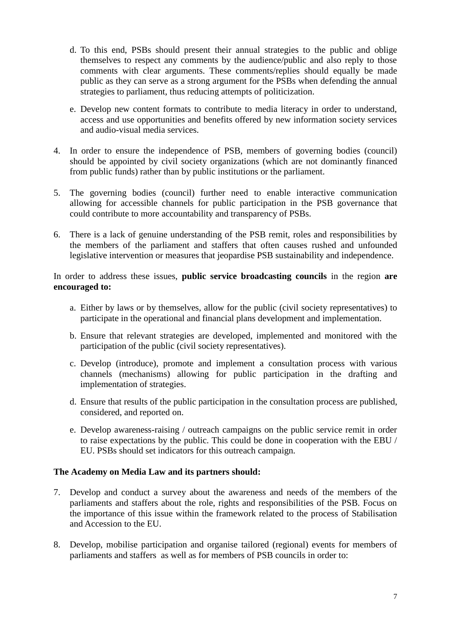- d. To this end, PSBs should present their annual strategies to the public and oblige themselves to respect any comments by the audience/public and also reply to those comments with clear arguments. These comments/replies should equally be made public as they can serve as a strong argument for the PSBs when defending the annual strategies to parliament, thus reducing attempts of politicization.
- e. Develop new content formats to contribute to media literacy in order to understand, access and use opportunities and benefits offered by new information society services and audio-visual media services.
- 4. In order to ensure the independence of PSB, members of governing bodies (council) should be appointed by civil society organizations (which are not dominantly financed from public funds) rather than by public institutions or the parliament.
- 5. The governing bodies (council) further need to enable interactive communication allowing for accessible channels for public participation in the PSB governance that could contribute to more accountability and transparency of PSBs.
- 6. There is a lack of genuine understanding of the PSB remit, roles and responsibilities by the members of the parliament and staffers that often causes rushed and unfounded legislative intervention or measures that jeopardise PSB sustainability and independence.

In order to address these issues, **public service broadcasting councils** in the region **are encouraged to:**

- a. Either by laws or by themselves, allow for the public (civil society representatives) to participate in the operational and financial plans development and implementation.
- b. Ensure that relevant strategies are developed, implemented and monitored with the participation of the public (civil society representatives).
- c. Develop (introduce), promote and implement a consultation process with various channels (mechanisms) allowing for public participation in the drafting and implementation of strategies.
- d. Ensure that results of the public participation in the consultation process are published, considered, and reported on.
- e. Develop awareness-raising / outreach campaigns on the public service remit in order to raise expectations by the public. This could be done in cooperation with the EBU / EU. PSBs should set indicators for this outreach campaign.

### **The Academy on Media Law and its partners should:**

- 7. Develop and conduct a survey about the awareness and needs of the members of the parliaments and staffers about the role, rights and responsibilities of the PSB. Focus on the importance of this issue within the framework related to the process of Stabilisation and Accession to the EU.
- 8. Develop, mobilise participation and organise tailored (regional) events for members of parliaments and staffers as well as for members of PSB councils in order to: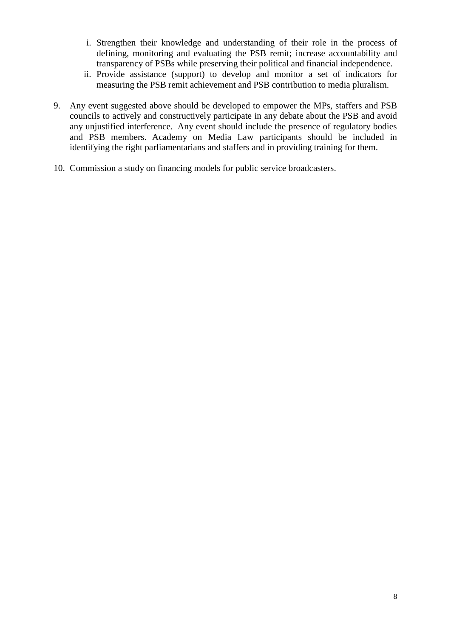- i. Strengthen their knowledge and understanding of their role in the process of defining, monitoring and evaluating the PSB remit; increase accountability and transparency of PSBs while preserving their political and financial independence.
- ii. Provide assistance (support) to develop and monitor a set of indicators for measuring the PSB remit achievement and PSB contribution to media pluralism.
- 9. Any event suggested above should be developed to empower the MPs, staffers and PSB councils to actively and constructively participate in any debate about the PSB and avoid any unjustified interference. Any event should include the presence of regulatory bodies and PSB members. Academy on Media Law participants should be included in identifying the right parliamentarians and staffers and in providing training for them.
- 10. Commission a study on financing models for public service broadcasters.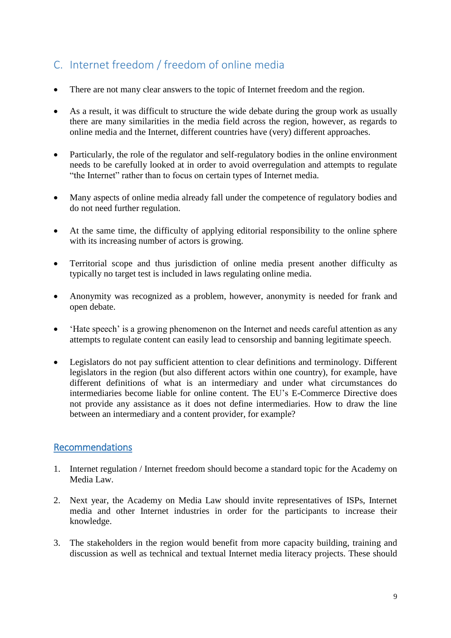## <span id="page-8-0"></span>C. Internet freedom / freedom of online media

- There are not many clear answers to the topic of Internet freedom and the region.
- As a result, it was difficult to structure the wide debate during the group work as usually there are many similarities in the media field across the region, however, as regards to online media and the Internet, different countries have (very) different approaches.
- Particularly, the role of the regulator and self-regulatory bodies in the online environment needs to be carefully looked at in order to avoid overregulation and attempts to regulate "the Internet" rather than to focus on certain types of Internet media.
- Many aspects of online media already fall under the competence of regulatory bodies and do not need further regulation.
- At the same time, the difficulty of applying editorial responsibility to the online sphere with its increasing number of actors is growing.
- Territorial scope and thus jurisdiction of online media present another difficulty as typically no target test is included in laws regulating online media.
- Anonymity was recognized as a problem, however, anonymity is needed for frank and open debate.
- 'Hate speech' is a growing phenomenon on the Internet and needs careful attention as any attempts to regulate content can easily lead to censorship and banning legitimate speech.
- Legislators do not pay sufficient attention to clear definitions and terminology. Different legislators in the region (but also different actors within one country), for example, have different definitions of what is an intermediary and under what circumstances do intermediaries become liable for online content. The EU's E-Commerce Directive does not provide any assistance as it does not define intermediaries. How to draw the line between an intermediary and a content provider, for example?

## Recommendations

- 1. Internet regulation / Internet freedom should become a standard topic for the Academy on Media Law.
- 2. Next year, the Academy on Media Law should invite representatives of ISPs, Internet media and other Internet industries in order for the participants to increase their knowledge.
- 3. The stakeholders in the region would benefit from more capacity building, training and discussion as well as technical and textual Internet media literacy projects. These should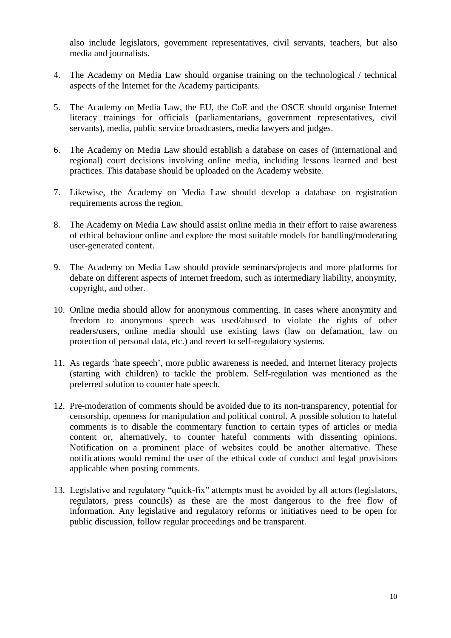also include legislators, government representatives, civil servants, teachers, but also media and journalists.

- 4. The Academy on Media Law should organise training on the technological / technical aspects of the Internet for the Academy participants.
- 5. The Academy on Media Law, the EU, the CoE and the OSCE should organise Internet literacy trainings for officials (parliamentarians, government representatives, civil servants), media, public service broadcasters, media lawyers and judges.
- 6. The Academy on Media Law should establish a database on cases of (international and regional) court decisions involving online media, including lessons learned and best practices. This database should be uploaded on the Academy website.
- 7. Likewise, the Academy on Media Law should develop a database on registration requirements across the region.
- 8. The Academy on Media Law should assist online media in their effort to raise awareness of ethical behaviour online and explore the most suitable models for handling/moderating user-generated content.
- 9. The Academy on Media Law should provide seminars/projects and more platforms for debate on different aspects of Internet freedom, such as intermediary liability, anonymity, copyright, and other.
- 10. Online media should allow for anonymous commenting. In cases where anonymity and freedom to anonymous speech was used/abused to violate the rights of other readers/users, online media should use existing laws (law on defamation, law on protection of personal data, etc.) and revert to self-regulatory systems.
- 11. As regards 'hate speech', more public awareness is needed, and Internet literacy projects (starting with children) to tackle the problem. Self-regulation was mentioned as the preferred solution to counter hate speech.
- 12. Pre-moderation of comments should be avoided due to its non-transparency, potential for censorship, openness for manipulation and political control. A possible solution to hateful comments is to disable the commentary function to certain types of articles or media content or, alternatively, to counter hateful comments with dissenting opinions. Notification on a prominent place of websites could be another alternative. These notifications would remind the user of the ethical code of conduct and legal provisions applicable when posting comments.
- <span id="page-9-0"></span>13. Legislative and regulatory "quick-fix" attempts must be avoided by all actors (legislators, regulators, press councils) as these are the most dangerous to the free flow of information. Any legislative and regulatory reforms or initiatives need to be open for public discussion, follow regular proceedings and be transparent.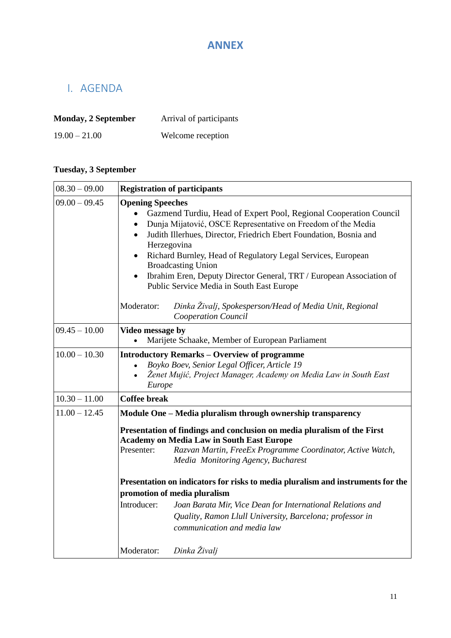## **ANNEX**

## <span id="page-10-0"></span>I. AGENDA

| <b>Monday, 2 September</b> | Arrival of participants |  |
|----------------------------|-------------------------|--|
| $19.00 - 21.00$            | Welcome reception       |  |

## **Tuesday, 3 September**

| $08.30 - 09.00$                                                                              | <b>Registration of participants</b>                                                                                                                                                                                                                                                                                                                                                                                                                                                           |  |  |  |
|----------------------------------------------------------------------------------------------|-----------------------------------------------------------------------------------------------------------------------------------------------------------------------------------------------------------------------------------------------------------------------------------------------------------------------------------------------------------------------------------------------------------------------------------------------------------------------------------------------|--|--|--|
| $09.00 - 09.45$                                                                              | <b>Opening Speeches</b><br>Gazmend Turdiu, Head of Expert Pool, Regional Cooperation Council<br>Dunja Mijatović, OSCE Representative on Freedom of the Media<br>Judith Illerhues, Director, Friedrich Ebert Foundation, Bosnia and<br>$\bullet$<br>Herzegovina<br>Richard Burnley, Head of Regulatory Legal Services, European<br>$\bullet$<br><b>Broadcasting Union</b><br>Ibrahim Eren, Deputy Director General, TRT / European Association of<br>Public Service Media in South East Europe |  |  |  |
| Dinka Živalj, Spokesperson/Head of Media Unit, Regional<br>Moderator:<br>Cooperation Council |                                                                                                                                                                                                                                                                                                                                                                                                                                                                                               |  |  |  |
| $09.45 - 10.00$                                                                              | Video message by<br>Marijete Schaake, Member of European Parliament<br>$\bullet$                                                                                                                                                                                                                                                                                                                                                                                                              |  |  |  |
| $10.00 - 10.30$                                                                              | <b>Introductory Remarks - Overview of programme</b><br>Boyko Boev, Senior Legal Officer, Article 19<br>Ženet Mujić, Project Manager, Academy on Media Law in South East<br>Europe                                                                                                                                                                                                                                                                                                             |  |  |  |
| $10.30 - 11.00$                                                                              | <b>Coffee break</b>                                                                                                                                                                                                                                                                                                                                                                                                                                                                           |  |  |  |
| $11.00 - 12.45$                                                                              | Module One - Media pluralism through ownership transparency                                                                                                                                                                                                                                                                                                                                                                                                                                   |  |  |  |
|                                                                                              | Presentation of findings and conclusion on media pluralism of the First<br><b>Academy on Media Law in South East Europe</b><br>Razvan Martin, FreeEx Programme Coordinator, Active Watch,<br>Presenter:<br>Media Monitoring Agency, Bucharest                                                                                                                                                                                                                                                 |  |  |  |
|                                                                                              | Presentation on indicators for risks to media pluralism and instruments for the                                                                                                                                                                                                                                                                                                                                                                                                               |  |  |  |
|                                                                                              | promotion of media pluralism                                                                                                                                                                                                                                                                                                                                                                                                                                                                  |  |  |  |
|                                                                                              | Introducer:<br>Joan Barata Mir, Vice Dean for International Relations and<br>Quality, Ramon Llull University, Barcelona; professor in<br>communication and media law                                                                                                                                                                                                                                                                                                                          |  |  |  |
|                                                                                              | Dinka Živalj<br>Moderator:                                                                                                                                                                                                                                                                                                                                                                                                                                                                    |  |  |  |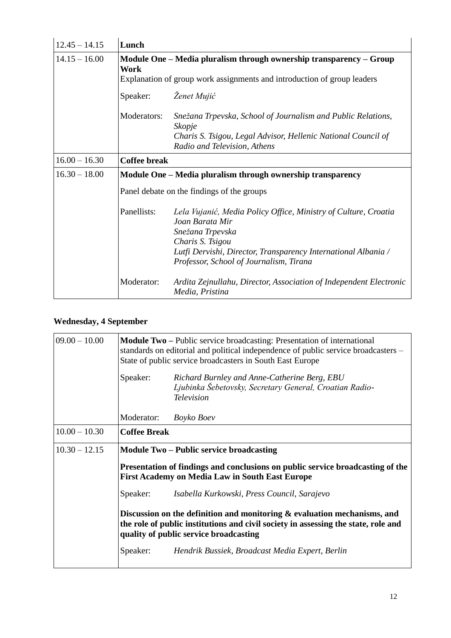| $12.45 - 14.15$ | Lunch                                                                                                                                                         |                                                                                                                                                                                                                                         |  |  |
|-----------------|---------------------------------------------------------------------------------------------------------------------------------------------------------------|-----------------------------------------------------------------------------------------------------------------------------------------------------------------------------------------------------------------------------------------|--|--|
| $14.15 - 16.00$ | Module One – Media pluralism through ownership transparency – Group<br><b>Work</b><br>Explanation of group work assignments and introduction of group leaders |                                                                                                                                                                                                                                         |  |  |
|                 | Speaker:                                                                                                                                                      | Ženet Mujić                                                                                                                                                                                                                             |  |  |
|                 | Moderators:                                                                                                                                                   | Snežana Trpevska, School of Journalism and Public Relations,<br>Skopje<br>Charis S. Tsigou, Legal Advisor, Hellenic National Council of<br>Radio and Television, Athens                                                                 |  |  |
| $16.00 - 16.30$ | <b>Coffee break</b>                                                                                                                                           |                                                                                                                                                                                                                                         |  |  |
| $16.30 - 18.00$ |                                                                                                                                                               | Module One – Media pluralism through ownership transparency                                                                                                                                                                             |  |  |
|                 | Panel debate on the findings of the groups                                                                                                                    |                                                                                                                                                                                                                                         |  |  |
|                 | Panellists:                                                                                                                                                   | Lela Vujanić, Media Policy Office, Ministry of Culture, Croatia<br>Joan Barata Mir<br>Snežana Trpevska<br>Charis S. Tsigou<br>Lutfi Dervishi, Director, Transparency International Albania /<br>Professor, School of Journalism, Tirana |  |  |
|                 | Moderator:                                                                                                                                                    | Ardita Zejnullahu, Director, Association of Independent Electronic<br>Media, Pristina                                                                                                                                                   |  |  |

## **Wednesday, 4 September**

| $09.00 - 10.00$                                                                                                                                                                                             | <b>Module Two</b> – Public service broadcasting: Presentation of international<br>standards on editorial and political independence of public service broadcasters -<br>State of public service broadcasters in South East Europe |                                                 |  |
|-------------------------------------------------------------------------------------------------------------------------------------------------------------------------------------------------------------|-----------------------------------------------------------------------------------------------------------------------------------------------------------------------------------------------------------------------------------|-------------------------------------------------|--|
|                                                                                                                                                                                                             | Speaker:<br>Richard Burnley and Anne-Catherine Berg, EBU<br>Ljubinka Šebetovsky, Secretary General, Croatian Radio-<br><b>Television</b>                                                                                          |                                                 |  |
|                                                                                                                                                                                                             | Moderator:                                                                                                                                                                                                                        | Boyko Boev                                      |  |
| $10.00 - 10.30$                                                                                                                                                                                             | <b>Coffee Break</b>                                                                                                                                                                                                               |                                                 |  |
| $10.30 - 12.15$<br><b>Module Two – Public service broadcasting</b>                                                                                                                                          |                                                                                                                                                                                                                                   |                                                 |  |
|                                                                                                                                                                                                             | Presentation of findings and conclusions on public service broadcasting of the<br><b>First Academy on Media Law in South East Europe</b>                                                                                          |                                                 |  |
|                                                                                                                                                                                                             | Speaker:                                                                                                                                                                                                                          | Isabella Kurkowski, Press Council, Sarajevo     |  |
| Discussion on the definition and monitoring $\&$ evaluation mechanisms, and<br>the role of public institutions and civil society in assessing the state, role and<br>quality of public service broadcasting |                                                                                                                                                                                                                                   |                                                 |  |
|                                                                                                                                                                                                             | Speaker:                                                                                                                                                                                                                          | Hendrik Bussiek, Broadcast Media Expert, Berlin |  |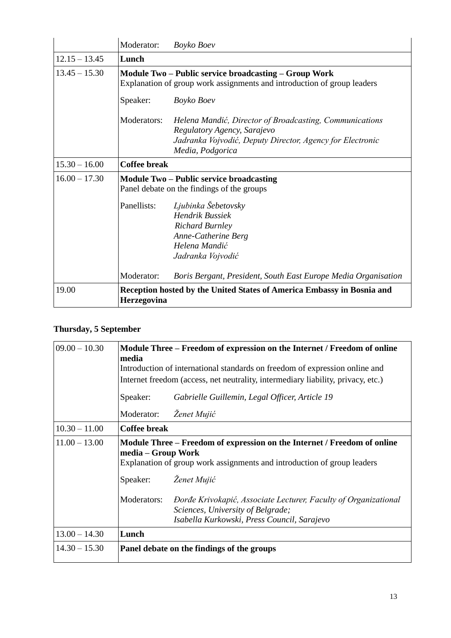|                 | Moderator:                                                                                                                       | Boyko Boev                                                                                                                                                              |  |  |
|-----------------|----------------------------------------------------------------------------------------------------------------------------------|-------------------------------------------------------------------------------------------------------------------------------------------------------------------------|--|--|
| $12.15 - 13.45$ | Lunch                                                                                                                            |                                                                                                                                                                         |  |  |
| $13.45 - 15.30$ | Module Two – Public service broadcasting – Group Work<br>Explanation of group work assignments and introduction of group leaders |                                                                                                                                                                         |  |  |
|                 | Speaker:                                                                                                                         | Boyko Boev                                                                                                                                                              |  |  |
|                 | Moderators:                                                                                                                      | Helena Mandić, Director of Broadcasting, Communications<br>Regulatory Agency, Sarajevo<br>Jadranka Vojvodić, Deputy Director, Agency for Electronic<br>Media, Podgorica |  |  |
| $15.30 - 16.00$ | <b>Coffee break</b>                                                                                                              |                                                                                                                                                                         |  |  |
| $16.00 - 17.30$ | <b>Module Two – Public service broadcasting</b><br>Panel debate on the findings of the groups                                    |                                                                                                                                                                         |  |  |
|                 | Panellists:                                                                                                                      | Ljubinka Šebetovsky<br><b>Hendrik Bussiek</b><br><b>Richard Burnley</b><br>Anne-Catherine Berg<br>Helena Mandić<br>Jadranka Vojvodić                                    |  |  |
|                 | Moderator:                                                                                                                       | Boris Bergant, President, South East Europe Media Organisation                                                                                                          |  |  |
| 19.00           | Herzegovina                                                                                                                      | Reception hosted by the United States of America Embassy in Bosnia and                                                                                                  |  |  |

## **Thursday, 5 September**

| $09.00 - 10.30$ | Module Three – Freedom of expression on the Internet / Freedom of online<br>media<br>Introduction of international standards on freedom of expression online and          |                                                                                                                                                     |  |  |
|-----------------|---------------------------------------------------------------------------------------------------------------------------------------------------------------------------|-----------------------------------------------------------------------------------------------------------------------------------------------------|--|--|
|                 | Internet freedom (access, net neutrality, intermediary liability, privacy, etc.)                                                                                          |                                                                                                                                                     |  |  |
|                 | Speaker:<br>Gabrielle Guillemin, Legal Officer, Article 19                                                                                                                |                                                                                                                                                     |  |  |
|                 | Ženet Mujić<br>Moderator:                                                                                                                                                 |                                                                                                                                                     |  |  |
| $10.30 - 11.00$ | <b>Coffee break</b>                                                                                                                                                       |                                                                                                                                                     |  |  |
| $11.00 - 13.00$ | Module Three – Freedom of expression on the Internet / Freedom of online<br>media – Group Work<br>Explanation of group work assignments and introduction of group leaders |                                                                                                                                                     |  |  |
|                 | Speaker:                                                                                                                                                                  | Ženet Mujić                                                                                                                                         |  |  |
|                 | Moderators:                                                                                                                                                               | Dorđe Krivokapić, Associate Lecturer, Faculty of Organizational<br>Sciences, University of Belgrade;<br>Isabella Kurkowski, Press Council, Sarajevo |  |  |
| $13.00 - 14.30$ |                                                                                                                                                                           |                                                                                                                                                     |  |  |
|                 | Lunch                                                                                                                                                                     |                                                                                                                                                     |  |  |
| $14.30 - 15.30$ | Panel debate on the findings of the groups                                                                                                                                |                                                                                                                                                     |  |  |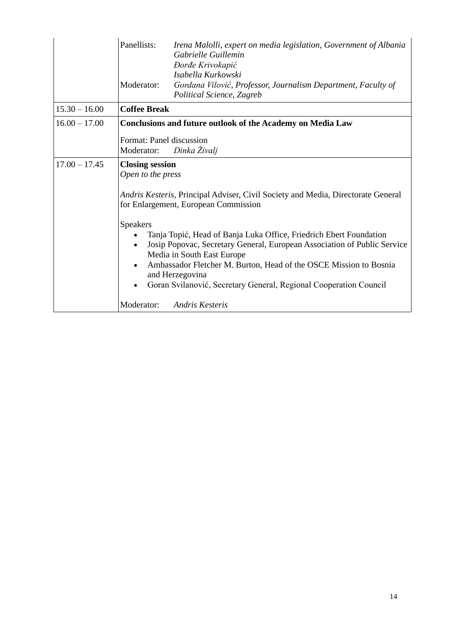<span id="page-13-0"></span>

|                 | Panellists:<br>Irena Malolli, expert on media legislation, Government of Albania<br>Gabrielle Guillemin<br>Đorđe Krivokapić<br>Isabella Kurkowski<br>Moderator:<br>Gordana Vilović, Professor, Journalism Department, Faculty of<br>Political Science, Zagreb                                                                                                                                                                                                                                                                                                                  |  |
|-----------------|--------------------------------------------------------------------------------------------------------------------------------------------------------------------------------------------------------------------------------------------------------------------------------------------------------------------------------------------------------------------------------------------------------------------------------------------------------------------------------------------------------------------------------------------------------------------------------|--|
| $15.30 - 16.00$ | <b>Coffee Break</b>                                                                                                                                                                                                                                                                                                                                                                                                                                                                                                                                                            |  |
| $16.00 - 17.00$ | <b>Conclusions and future outlook of the Academy on Media Law</b>                                                                                                                                                                                                                                                                                                                                                                                                                                                                                                              |  |
|                 | Format: Panel discussion<br>Dinka Živalj<br>Moderator:                                                                                                                                                                                                                                                                                                                                                                                                                                                                                                                         |  |
| $17.00 - 17.45$ | <b>Closing session</b><br>Open to the press<br>Andris Kesteris, Principal Adviser, Civil Society and Media, Directorate General<br>for Enlargement, European Commission<br>Speakers<br>Tanja Topić, Head of Banja Luka Office, Friedrich Ebert Foundation<br>Josip Popovac, Secretary General, European Association of Public Service<br>$\bullet$<br>Media in South East Europe<br>Ambassador Fletcher M. Burton, Head of the OSCE Mission to Bosnia<br>and Herzegovina<br>Goran Svilanović, Secretary General, Regional Cooperation Council<br>Moderator:<br>Andris Kesteris |  |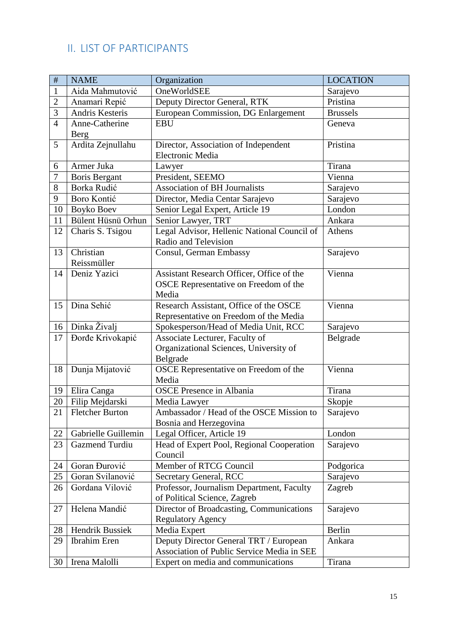## II. LIST OF PARTICIPANTS

| $\#$           | <b>NAME</b>              | Organization                                                                                | <b>LOCATION</b> |
|----------------|--------------------------|---------------------------------------------------------------------------------------------|-----------------|
| $\mathbf{1}$   | Aida Mahmutović          | OneWorldSEE                                                                                 | Sarajevo        |
| $\mathbf{2}$   | Anamari Repić            | Deputy Director General, RTK                                                                | Pristina        |
| 3              | Andris Kesteris          | European Commission, DG Enlargement                                                         | <b>Brussels</b> |
| $\overline{4}$ | Anne-Catherine<br>Berg   | <b>EBU</b>                                                                                  | Geneva          |
| 5              | Ardita Zejnullahu        | Director, Association of Independent<br>Electronic Media                                    | Pristina        |
| 6              | Armer Juka               | Lawyer                                                                                      | Tirana          |
| $\tau$         | <b>Boris Bergant</b>     | President, SEEMO                                                                            | Vienna          |
| 8              | Borka Rudić              | <b>Association of BH Journalists</b>                                                        | Sarajevo        |
| 9              | Boro Kontić              | Director, Media Centar Sarajevo                                                             | Sarajevo        |
| 10             | Boyko Boev               | Senior Legal Expert, Article 19                                                             | London          |
| 11             | Bülent Hüsnü Orhun       | Senior Lawyer, TRT                                                                          | Ankara          |
| 12             | Charis S. Tsigou         | Legal Advisor, Hellenic National Council of<br>Radio and Television                         | Athens          |
| 13             | Christian<br>Reissmüller | Consul, German Embassy                                                                      | Sarajevo        |
| 14             | Deniz Yazici             | Assistant Research Officer, Office of the<br>OSCE Representative on Freedom of the<br>Media | Vienna          |
| 15             | Dina Sehić               | Research Assistant, Office of the OSCE<br>Representative on Freedom of the Media            | Vienna          |
| 16             | Dinka Živalj             | Spokesperson/Head of Media Unit, RCC                                                        | Sarajevo        |
| 17             | Dorđe Krivokapić         | Associate Lecturer, Faculty of<br>Organizational Sciences, University of<br>Belgrade        | Belgrade        |
| 18             | Dunja Mijatović          | OSCE Representative on Freedom of the<br>Media                                              | Vienna          |
| 19             | Elira Canga              | <b>OSCE Presence in Albania</b>                                                             | Tirana          |
| 20             | Filip Mejdarski          | Media Lawyer                                                                                | Skopje          |
| 21             | <b>Fletcher Burton</b>   | Ambassador / Head of the OSCE Mission to<br>Bosnia and Herzegovina                          | Sarajevo        |
| 22             | Gabrielle Guillemin      | Legal Officer, Article 19                                                                   | London          |
| 23             | <b>Gazmend Turdiu</b>    | Head of Expert Pool, Regional Cooperation<br>Council                                        | Sarajevo        |
| 24             | Goran Đurović            | Member of RTCG Council                                                                      | Podgorica       |
| 25             | Goran Svilanović         | <b>Secretary General, RCC</b>                                                               | Sarajevo        |
| 26             | Gordana Vilović          | Professor, Journalism Department, Faculty<br>of Political Science, Zagreb                   | Zagreb          |
| 27             | Helena Mandić            | Director of Broadcasting, Communications<br><b>Regulatory Agency</b>                        | Sarajevo        |
| 28             | <b>Hendrik Bussiek</b>   | Media Expert                                                                                | <b>Berlin</b>   |
| 29             | <b>Ibrahim Eren</b>      | Deputy Director General TRT / European<br>Association of Public Service Media in SEE        | Ankara          |
| 30             | Irena Malolli            | Expert on media and communications                                                          | Tirana          |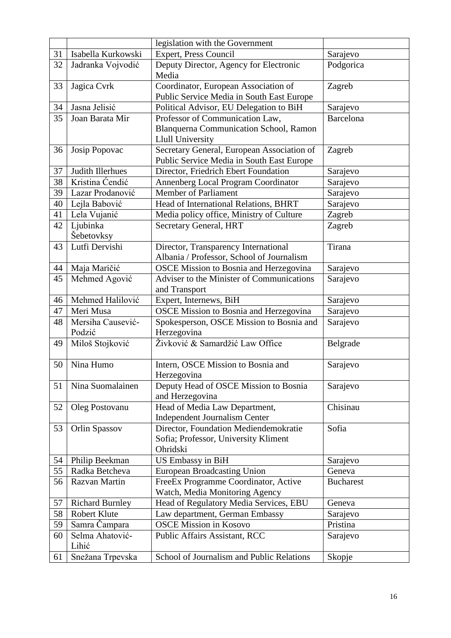|    |                          | legislation with the Government                                                         |                  |
|----|--------------------------|-----------------------------------------------------------------------------------------|------------------|
| 31 | Isabella Kurkowski       | Expert, Press Council                                                                   | Sarajevo         |
| 32 | Jadranka Vojvodić        | Deputy Director, Agency for Electronic<br>Media                                         | Podgorica        |
| 33 | Jagica Cvrk              | Coordinator, European Association of                                                    | Zagreb           |
|    |                          | Public Service Media in South East Europe                                               |                  |
| 34 | Jasna Jelisić            | Political Advisor, EU Delegation to BiH                                                 | Sarajevo         |
| 35 | Joan Barata Mir          | Professor of Communication Law,                                                         | <b>Barcelona</b> |
|    |                          | Blanquerna Communication School, Ramon                                                  |                  |
|    |                          | <b>Llull University</b>                                                                 |                  |
| 36 | Josip Popovac            | Secretary General, European Association of<br>Public Service Media in South East Europe | Zagreb           |
| 37 | Judith Illerhues         | Director, Friedrich Ebert Foundation                                                    | Sarajevo         |
| 38 | Kristina Ćendić          | Annenberg Local Program Coordinator                                                     | Sarajevo         |
| 39 | Lazar Prodanović         | <b>Member of Parliament</b>                                                             | Sarajevo         |
| 40 | Lejla Babović            | Head of International Relations, BHRT                                                   | Sarajevo         |
| 41 | Lela Vujanić             | Media policy office, Ministry of Culture                                                | Zagreb           |
| 42 | Ljubinka                 | Secretary General, HRT                                                                  | Zagreb           |
|    | Šebetovksy               |                                                                                         |                  |
| 43 | Lutfi Dervishi           | Director, Transparency International                                                    | Tirana           |
|    |                          | Albania / Professor, School of Journalism                                               |                  |
| 44 | Maja Maričić             | <b>OSCE Mission to Bosnia and Herzegovina</b>                                           | Sarajevo         |
| 45 | Mehmed Agović            | Adviser to the Minister of Communications<br>and Transport                              | Sarajevo         |
| 46 | Mehmed Halilović         | Expert, Internews, BiH                                                                  | Sarajevo         |
| 47 | Meri Musa                | <b>OSCE Mission to Bosnia and Herzegovina</b>                                           | Sarajevo         |
| 48 | Mersiha Causević-        | Spokesperson, OSCE Mission to Bosnia and                                                | Sarajevo         |
|    | Podzić                   | Herzegovina                                                                             |                  |
| 49 | Miloš Stojković          | Živković & Samardžić Law Office                                                         | Belgrade         |
| 50 | Nina Humo                | Intern, OSCE Mission to Bosnia and                                                      | Sarajevo         |
|    |                          | Herzegovina                                                                             |                  |
| 51 | Nina Suomalainen         | Deputy Head of OSCE Mission to Bosnia                                                   | Sarajevo         |
|    |                          | and Herzegovina                                                                         |                  |
| 52 | Oleg Postovanu           | Head of Media Law Department,                                                           | Chisinau         |
|    |                          | Independent Journalism Center                                                           |                  |
| 53 | Orlin Spassov            | Director, Foundation Mediendemokratie                                                   | Sofia            |
|    |                          | Sofia; Professor, University Kliment                                                    |                  |
|    |                          | Ohridski                                                                                |                  |
| 54 | Philip Beekman           | US Embassy in BiH                                                                       | Sarajevo         |
| 55 | Radka Betcheva           | <b>European Broadcasting Union</b>                                                      | Geneva           |
| 56 | Razvan Martin            | FreeEx Programme Coordinator, Active                                                    | <b>Bucharest</b> |
|    |                          | Watch, Media Monitoring Agency                                                          |                  |
| 57 | <b>Richard Burnley</b>   | Head of Regulatory Media Services, EBU                                                  | Geneva           |
| 58 | <b>Robert Klute</b>      | Law department, German Embassy                                                          | Sarajevo         |
| 59 | Samra Čampara            | <b>OSCE Mission in Kosovo</b>                                                           | Pristina         |
| 60 | Selma Ahatović-<br>Lihić | Public Affairs Assistant, RCC                                                           | Sarajevo         |
| 61 | Snežana Trpevska         | School of Journalism and Public Relations                                               | Skopje           |
|    |                          |                                                                                         |                  |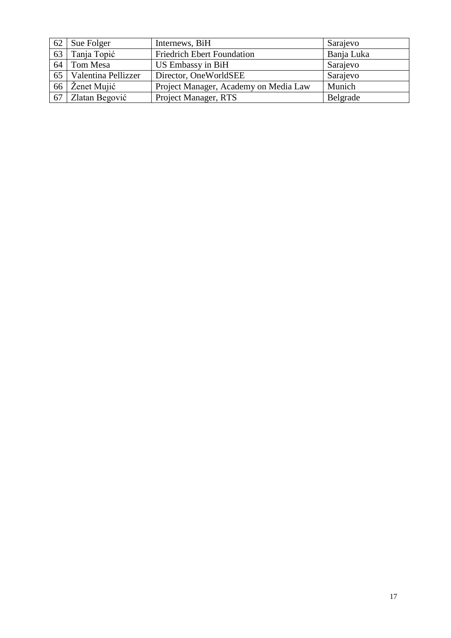| 62 | Sue Folger           | Internews, BiH                        | Sarajevo   |
|----|----------------------|---------------------------------------|------------|
| 63 | Tanja Topić          | <b>Friedrich Ebert Foundation</b>     | Banja Luka |
| 64 | Tom Mesa             | US Embassy in BiH                     | Sarajevo   |
| 65 | Valentina Pellizzer  | Director, OneWorldSEE                 | Sarajevo   |
| 66 | $\angle$ Ženet Mujić | Project Manager, Academy on Media Law | Munich     |
| 67 | Zlatan Begović       | Project Manager, RTS                  | Belgrade   |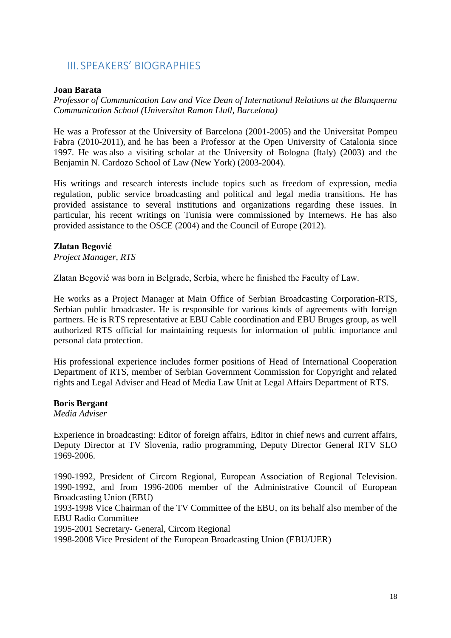## <span id="page-17-0"></span>III. SPEAKERS' BIOGRAPHIES

#### **Joan Barata**

*Professor of Communication Law and Vice Dean of International Relations at the Blanquerna Communication School (Universitat Ramon Llull, Barcelona)*

He was a Professor at the University of Barcelona (2001-2005) and the Universitat Pompeu Fabra (2010-2011), and he has been a Professor at the Open University of Catalonia since 1997. He was also a visiting scholar at the University of Bologna (Italy) (2003) and the Benjamin N. Cardozo School of Law (New York) (2003-2004).

His writings and research interests include topics such as freedom of expression, media regulation, public service broadcasting and political and legal media transitions. He has provided assistance to several institutions and organizations regarding these issues. In particular, his recent writings on Tunisia were commissioned by Internews. He has also provided assistance to the OSCE (2004) and the Council of Europe (2012).

#### **Zlatan Begović**

*Project Manager, RTS*

Zlatan Begović was born in Belgrade, Serbia, where he finished the Faculty of Law.

He works as a Project Manager at Main Office of Serbian Broadcasting Corporation-RTS, Serbian public broadcaster. He is responsible for various kinds of agreements with foreign partners. He is RTS representative at EBU Cable coordination and EBU Bruges group, as well authorized RTS official for maintaining requests for information of public importance and personal data protection.

His professional experience includes former positions of Head of International Cooperation Department of RTS, member of Serbian Government Commission for Copyright and related rights and Legal Adviser and Head of Media Law Unit at Legal Affairs Department of RTS.

#### **Boris Bergant**

*Media Adviser*

Experience in broadcasting: Editor of foreign affairs, Editor in chief news and current affairs, Deputy Director at TV Slovenia, radio programming, Deputy Director General RTV SLO 1969-2006.

1990-1992, President of Circom Regional, European Association of Regional Television. 1990-1992, and from 1996-2006 member of the Administrative Council of European Broadcasting Union (EBU)

1993-1998 Vice Chairman of the TV Committee of the EBU, on its behalf also member of the EBU Radio Committee

1995-2001 Secretary- General, Circom Regional

1998-2008 Vice President of the European Broadcasting Union (EBU/UER)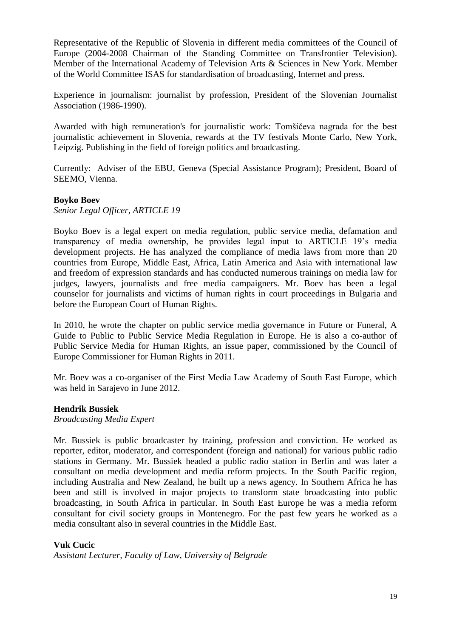Representative of the Republic of Slovenia in different media committees of the Council of Europe (2004-2008 Chairman of the Standing Committee on Transfrontier Television). Member of the International Academy of Television Arts & Sciences in New York. Member of the World Committee ISAS for standardisation of broadcasting, Internet and press.

Experience in journalism: journalist by profession, President of the Slovenian Journalist Association (1986-1990).

Awarded with high remuneration's for journalistic work: Tomšičeva nagrada for the best journalistic achievement in Slovenia, rewards at the TV festivals Monte Carlo, New York, Leipzig. Publishing in the field of foreign politics and broadcasting.

Currently: Adviser of the EBU, Geneva (Special Assistance Program); President, Board of SEEMO, Vienna.

#### **Boyko Boev**

*Senior Legal Officer, ARTICLE 19*

Boyko Boev is a legal expert on media regulation, public service media, defamation and transparency of media ownership, he provides legal input to ARTICLE 19's media development projects. He has analyzed the compliance of media laws from more than 20 countries from Europe, Middle East, Africa, Latin America and Asia with international law and freedom of expression standards and has conducted numerous trainings on media law for judges, lawyers, journalists and free media campaigners. Mr. Boev has been a legal counselor for journalists and victims of human rights in court proceedings in Bulgaria and before the European Court of Human Rights.

In 2010, he wrote the chapter on public service media governance in Future or Funeral, A Guide to Public to Public Service Media Regulation in Europe. He is also a co-author of Public Service Media for Human Rights, an issue paper, commissioned by the Council of Europe Commissioner for Human Rights in 2011.

Mr. Boev was a co-organiser of the First Media Law Academy of South East Europe, which was held in Sarajevo in June 2012.

#### **Hendrik Bussiek**

*Broadcasting Media Expert*

Mr. Bussiek is public broadcaster by training, profession and conviction. He worked as reporter, editor, moderator, and correspondent (foreign and national) for various public radio stations in Germany. Mr. Bussiek headed a public radio station in Berlin and was later a consultant on media development and media reform projects. In the South Pacific region, including Australia and New Zealand, he built up a news agency. In Southern Africa he has been and still is involved in major projects to transform state broadcasting into public broadcasting, in South Africa in particular. In South East Europe he was a media reform consultant for civil society groups in Montenegro. For the past few years he worked as a media consultant also in several countries in the Middle East.

#### **Vuk Cucic**

*Assistant Lecturer, Faculty of Law, University of Belgrade*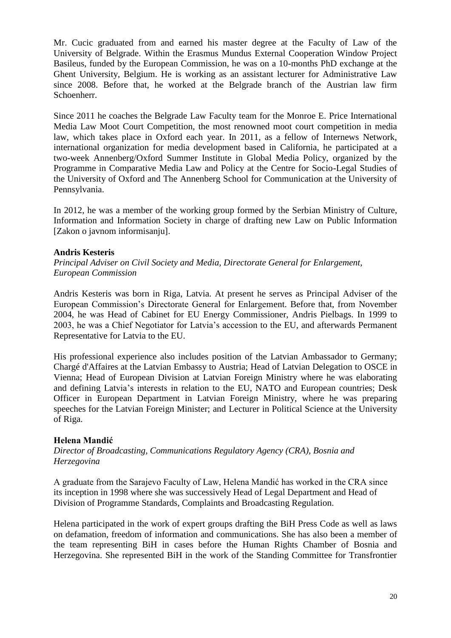Mr. Cucic graduated from and earned his master degree at the Faculty of Law of the University of Belgrade. Within the Erasmus Mundus External Cooperation Window Project Basileus, funded by the European Commission, he was on a 10-months PhD exchange at the Ghent University, Belgium. He is working as an assistant lecturer for Administrative Law since 2008. Before that, he worked at the Belgrade branch of the Austrian law firm Schoenherr.

Since 2011 he coaches the Belgrade Law Faculty team for the Monroe E. Price International Media Law Moot Court Competition, the most renowned moot court competition in media law, which takes place in Oxford each year. In 2011, as a fellow of Internews Network, international organization for media development based in California, he participated at a two-week Annenberg/Oxford Summer Institute in Global Media Policy, organized by the Programme in Comparative Media Law and Policy at the Centre for Socio-Legal Studies of the University of Oxford and The Annenberg School for Communication at the University of Pennsylvania.

In 2012, he was a member of the working group formed by the Serbian Ministry of Culture, Information and Information Society in charge of drafting new Law on Public Information [Zakon o javnom informisanju].

#### **Andris Kesteris**

*Principal Adviser on Civil Society and Media, Directorate General for Enlargement, European Commission*

Andris Kesteris was born in Riga, Latvia. At present he serves as Principal Adviser of the European Commission's Directorate General for Enlargement. Before that, from November 2004, he was Head of Cabinet for EU Energy Commissioner, Andris Pielbags. In 1999 to 2003, he was a Chief Negotiator for Latvia's accession to the EU, and afterwards Permanent Representative for Latvia to the EU.

His professional experience also includes position of the Latvian Ambassador to Germany; Chargé d'Affaires at the Latvian Embassy to Austria; Head of Latvian Delegation to OSCE in Vienna; Head of European Division at Latvian Foreign Ministry where he was elaborating and defining Latvia's interests in relation to the EU, NATO and European countries; Desk Officer in European Department in Latvian Foreign Ministry, where he was preparing speeches for the Latvian Foreign Minister; and Lecturer in Political Science at the University of Riga.

#### **Helena Mandić**

*Director of Broadcasting, Communications Regulatory Agency (CRA), Bosnia and Herzegovina*

A graduate from the Sarajevo Faculty of Law, Helena Mandić has worked in the CRA since its inception in 1998 where she was successively Head of Legal Department and Head of Division of Programme Standards, Complaints and Broadcasting Regulation.

Helena participated in the work of expert groups drafting the BiH Press Code as well as laws on defamation, freedom of information and communications. She has also been a member of the team representing BiH in cases before the Human Rights Chamber of Bosnia and Herzegovina. She represented BiH in the work of the Standing Committee for Transfrontier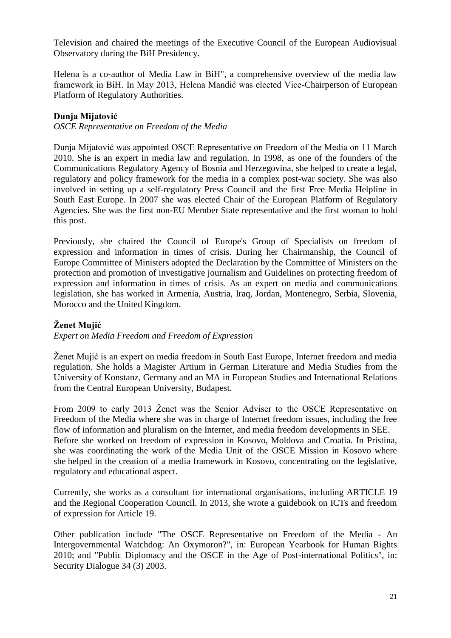Television and chaired the meetings of the Executive Council of the European Audiovisual Observatory during the BiH Presidency.

Helena is a co-author of Media Law in BiH", a comprehensive overview of the media law framework in BiH. In May 2013, Helena Mandić was elected Vice-Chairperson of European Platform of Regulatory Authorities.

### **Dunja Mijatović**

*OSCE Representative on Freedom of the Media*

Dunja Mijatović was appointed OSCE Representative on Freedom of the Media on 11 March 2010. She is an expert in media law and regulation. In 1998, as one of the founders of the Communications Regulatory Agency of Bosnia and Herzegovina, she helped to create a legal, regulatory and policy framework for the media in a complex post-war society. She was also involved in setting up a self-regulatory Press Council and the first Free Media Helpline in South East Europe. In 2007 she was elected Chair of the European Platform of Regulatory Agencies. She was the first non-EU Member State representative and the first woman to hold this post.

Previously, she chaired the Council of Europe's Group of Specialists on freedom of expression and information in times of crisis. During her Chairmanship, the Council of Europe Committee of Ministers adopted the Declaration by the Committee of Ministers on the protection and promotion of investigative journalism and Guidelines on protecting freedom of expression and information in times of crisis. As an expert on media and communications legislation, she has worked in Armenia, Austria, Iraq, Jordan, Montenegro, Serbia, Slovenia, Morocco and the United Kingdom.

## **Ženet Mujić**

*Expert on Media Freedom and Freedom of Expression*

Ženet Mujić is an expert on media freedom in South East Europe, Internet freedom and media regulation. She holds a Magister Artium in German Literature and Media Studies from the University of Konstanz, Germany and an MA in European Studies and International Relations from the Central European University, Budapest.

From 2009 to early 2013 Ženet was the Senior Adviser to the OSCE Representative on Freedom of the Media where she was in charge of Internet freedom issues, including the free flow of information and pluralism on the Internet, and media freedom developments in SEE. Before she worked on freedom of expression in Kosovo, Moldova and Croatia. In Pristina, she was coordinating the work of the Media Unit of the OSCE Mission in Kosovo where she helped in the creation of a media framework in Kosovo, concentrating on the legislative, regulatory and educational aspect.

Currently, she works as a consultant for international organisations, including ARTICLE 19 and the Regional Cooperation Council. In 2013, she wrote a guidebook on ICTs and freedom of expression for Article 19.

Other publication include "The OSCE Representative on Freedom of the Media - An Intergovernmental Watchdog: An Oxymoron?", in: European Yearbook for Human Rights 2010; and "Public Diplomacy and the OSCE in the Age of Post-international Politics", in: Security Dialogue 34 (3) 2003.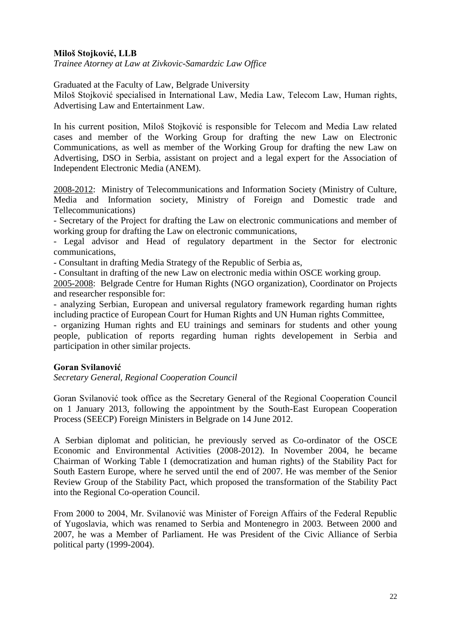### **Miloš Stojković, LLB**

*Trainee Atorney at Law at Zivkovic-Samardzic Law Office*

Graduated at the Faculty of Law, Belgrade University

Miloš Stojković specialised in International Law, Media Law, Telecom Law, Human rights, Advertising Law and Entertainment Law.

In his current position, Miloš Stojković is responsible for Telecom and Media Law related cases and member of the Working Group for drafting the new Law on Electronic Communications, as well as member of the Working Group for drafting the new Law on Advertising, DSO in Serbia, assistant on project and a legal expert for the Association of Independent Electronic Media (ANEM).

2008-2012: Ministry of Telecommunications and Information Society (Ministry of Culture, Media and Information society, Ministry of Foreign and Domestic trade and Tellecommunications)

- Secretary of the Project for drafting the Law on electronic communications and member of working group for drafting the Law on electronic communications,

- Legal advisor and Head of regulatory department in the Sector for electronic communications,

- Consultant in drafting Media Strategy of the Republic of Serbia as,

- Consultant in drafting of the new Law on electronic media within OSCE working group.

2005-2008: Belgrade Centre for Human Rights (NGO organization), Coordinator on Projects and researcher responsible for:

- analyzing Serbian, European and universal regulatory framework regarding human rights including practice of European Court for Human Rights and UN Human rights Committee,

- organizing Human rights and EU trainings and seminars for students and other young people, publication of reports regarding human rights developement in Serbia and participation in other similar projects.

#### **Goran Svilanović**

*Secretary General, Regional Cooperation Council*

Goran Svilanović took office as the Secretary General of the Regional Cooperation Council on 1 January 2013, following the appointment by the South-East European Cooperation Process (SEECP) Foreign Ministers in Belgrade on 14 June 2012.

A Serbian diplomat and politician, he previously served as Co-ordinator of the OSCE Economic and Environmental Activities (2008-2012). In November 2004, he became Chairman of Working Table I (democratization and human rights) of the Stability Pact for South Eastern Europe, where he served until the end of 2007. He was member of the Senior Review Group of the Stability Pact, which proposed the transformation of the Stability Pact into the Regional Co-operation Council.

From 2000 to 2004, Mr. Svilanović was Minister of Foreign Affairs of the Federal Republic of Yugoslavia, which was renamed to Serbia and Montenegro in 2003. Between 2000 and 2007, he was a Member of Parliament. He was President of the Civic Alliance of Serbia political party (1999-2004).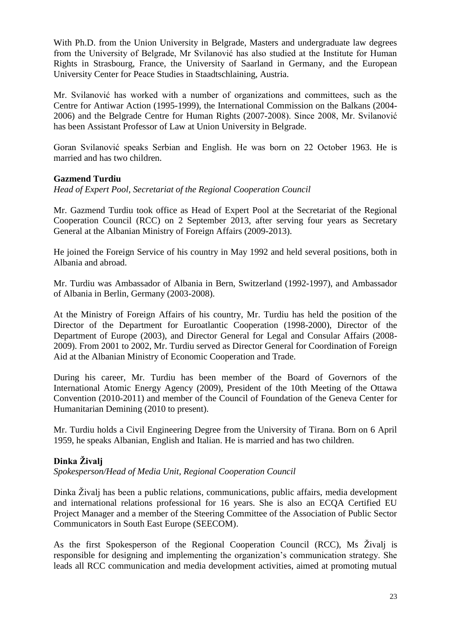With Ph.D. from the Union University in Belgrade, Masters and undergraduate law degrees from the University of Belgrade, Mr Svilanović has also studied at the Institute for Human Rights in Strasbourg, France, the University of Saarland in Germany, and the European University Center for Peace Studies in Staadtschlaining, Austria.

Mr. Svilanović has worked with a number of organizations and committees, such as the Centre for Antiwar Action (1995-1999), the International Commission on the Balkans (2004- 2006) and the Belgrade Centre for Human Rights (2007-2008). Since 2008, Mr. Svilanović has been Assistant Professor of Law at Union University in Belgrade.

Goran Svilanović speaks Serbian and English. He was born on 22 October 1963. He is married and has two children.

#### **Gazmend Turdiu**

*Head of Expert Pool, Secretariat of the Regional Cooperation Council* 

Mr. Gazmend Turdiu took office as Head of Expert Pool at the Secretariat of the Regional Cooperation Council (RCC) on 2 September 2013, after serving four years as Secretary General at the Albanian Ministry of Foreign Affairs (2009-2013).

He joined the Foreign Service of his country in May 1992 and held several positions, both in Albania and abroad.

Mr. Turdiu was Ambassador of Albania in Bern, Switzerland (1992-1997), and Ambassador of Albania in Berlin, Germany (2003-2008).

At the Ministry of Foreign Affairs of his country, Mr. Turdiu has held the position of the Director of the Department for Euroatlantic Cooperation (1998-2000), Director of the Department of Europe (2003), and Director General for Legal and Consular Affairs (2008- 2009). From 2001 to 2002, Mr. Turdiu served as Director General for Coordination of Foreign Aid at the Albanian Ministry of Economic Cooperation and Trade.

During his career, Mr. Turdiu has been member of the Board of Governors of the International Atomic Energy Agency (2009), President of the 10th Meeting of the Ottawa Convention (2010-2011) and member of the Council of Foundation of the Geneva Center for Humanitarian Demining (2010 to present).

Mr. Turdiu holds a Civil Engineering Degree from the University of Tirana. Born on 6 April 1959, he speaks Albanian, English and Italian. He is married and has two children.

## **Dinka Živalj**

*Spokesperson/Head of Media Unit, Regional Cooperation Council*

Dinka Živalj has been a public relations, communications, public affairs, media development and international relations professional for 16 years. She is also an ECQA Certified EU Project Manager and a member of the Steering Committee of the Association of Public Sector Communicators in South East Europe (SEECOM).

As the first Spokesperson of the Regional Cooperation Council (RCC), Ms Živalj is responsible for designing and implementing the organization's communication strategy. She leads all RCC communication and media development activities, aimed at promoting mutual